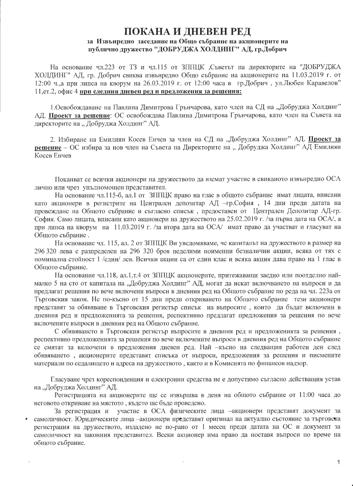## ПОКАНА И ДНЕВЕН РЕД за Извънредно заседание на Общо събрание на акционерите на публично дружество "ДОБРУДЖА ХОЛДИНГ" АД, гр.Добрич

На основание чл.223 от ТЗ и чл.115 от ЗППЦК ,Съветът на директорите на "ДОБРУДЖА ХОЛДИНГ" АД, гр. Добрич свиква извънредно Общо събрание на акционерите на 11.03.2019 г. от 12:00 ч.,а при липса на кворум на 26.03.2019 г. от 12:00 часа в гр.Добрич, ул.Любен Каравелов" 11, ет. 2, офис 4 при следния дневен ред и предложения за решения:

1. Освобождаване на Павлина Димитрова Грънчарова, като член на СД на "Добруджа Холдинг" АД. Проект за решение: ОС освобождава Павлина Димитрова Грънчарова, като член на Съвета на директорите на "Добруджа Холдинг" АД.

2. Избиране на Емилиян Косев Енчев за член на СД на "Добруджа Холдинг" АД. Проект за решение - ОС избира за нов член на Съвета на Директорите на "Добруджа Холдинг" АД Емилиян Косев Енчев

Поканват се всички акционери на дружеството да вземат участие в свиканото извънредно ОСА лично или чрез упълномощен представител.

На основание чл.115-б, ал.1 от ЗППЦК право на глас в общото събрание имат лицата, вписани като акционери в регистрите на Централен депозитар АД -гр.София, 14 дни преди датата на провеждане на Общото събрание и съгласно списък, предоставен от Централен Депозитар АД-гр. София. Само лицата, вписани като акционери на дружеството на 25.02.2019 г. /за първа дата на ОСА/, а при липса на кворум на 11.03.2019 г. /за втора дата на ОСА/ имат право да участват и гласуват на Общото събрание.

На основание чл. 115, ал. 2 от ЗППЦК Ви уведомяваме, че капиталът на дружеството в размер на 296 320 лева е разпределен на 296 320 броя неделими поименни безналични акции, всяка от тях с номинална стойност 1 /един/ лев. Всички акции са от един клас и всяка акция дава право на 1 глас в Общото събрание.

На основание чл.118, ал.1,т.4 от ЗППЦК акционерите, притежаващи заедно или поотделно наймалко 5 на сто от капитала на "Добруджа Холдинг" АД, могат да искат включването на въпроси и да предлагат решения по вече включени въпроси в дневния ред на Общото събрание по реда на чл. 223 аот Търговския закон. Не по-късно от 15 дни преди откриването на Общото събрание тези акционери представят за обявяване в Търговския регистър списък на въпросите, които да бъдат включени в дневния ред и предложенията за решения, респективно предлагат предложения за решения по вече включените въпроси в дневния ред на Общото събрание.

С обявяването в Търговския регистър въпросите в дневния ред и предложенията за решения, респективно предложенията за решения по вече включените въпроси в дневния ред на Общото събрание се смятат за включени в предложения дневен ред. Най -късно на следващия работен ден след обявяването, акционерите представят списъка от въпроси, предложения за решения и писмените материали по седалището и адреса на дружеството, както и в Комисията по финансов надзор.

Гласуване чрез кореспонденция и електронни средства не е допустимо съгласно действащия устав на "Добруджа Холдинг" АД.

Регистрацията на акционерите ще се извършва в деня на общото събрание от 11:00 часа до неговото откриване на мястото, където ще бъде проведено.

За регистрация и участие в ОСА физическите лица -акционери представят документ за самоличност. Юридическите лица -акционери представят оригинал на актуално състояние за търговска регистрация на дружеството, издадено не по-рано от 1 месец преди датата на ОС и документ за самоличност на законния представител. Всеки акционер има право да поставя въпроси по време на общото събрание.